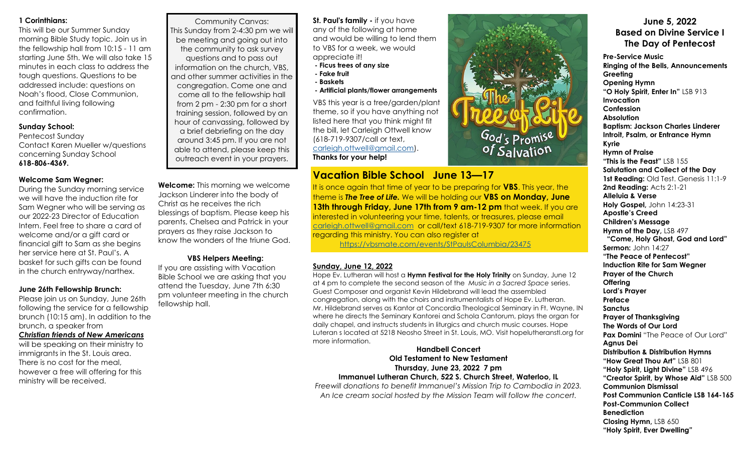## **1 Corinthians:**

This will be our Summer Sunday morning Bible Study topic. Join us in the fellowship hall from 10:15 - 11 am starting June 5th. We will also take 15 minutes in each class to address the tough questions. Questions to be addressed include: questions on Noah's flood, Close Communion, and faithful living following confirmation.

## **Sunday School:**

Pentecost Sunday Contact Karen Mueller w/questions concerning Sunday School **618-806-4369.**

# **Welcome Sam Wegner:**

During the Sunday morning service we will have the induction rite for Sam Wegner who will be serving as our 2022-23 Director of Education Intern. Feel free to share a card of welcome and/or a gift card or financial gift to Sam as she begins her service here at St. Paul's. A basket for such gifts can be found in the church entryway/narthex.

#### **June 26th Fellowship Brunch:**

Please join us on Sunday, June 26th following the service for a fellowship brunch (10:15 am). In addition to the brunch, a speaker from *Christian friends of New Americans* will be speaking on their ministry to immigrants in the St. Louis area. There is no cost for the meal, however a free will offering for this ministry will be received.

Community Canvas: This Sunday from 2-4:30 pm we will be meeting and going out into the community to ask survey questions and to pass out information on the church, VBS, and other summer activities in the congregation. Come one and come all to the fellowship hall from 2 pm - 2:30 pm for a short training session, followed by an hour of canvassing, followed by a brief debriefing on the day around 3:45 pm. If you are not able to attend, please keep this outreach event in your prayers.

**Welcome:** This morning we welcome Jackson Linderer into the body of Christ as he receives the rich blessings of baptism. Please keep his parents, Chelsea and Patrick in your prayers as they raise Jackson to know the wonders of the triune God.

# **VBS Helpers Meeting:**

If you are assisting with Vacation Bible School we are asking that you attend the Tuesday, June 7th 6:30 pm volunteer meeting in the church fellowship hall.

**St. Paul's family -** if you have any of the following at home and would be willing to lend them to VBS for a week, we would appreciate it!

- **- Ficus trees of any size**
- **- Fake fruit**
- **- Baskets**
- **- Artificial plants/flower arrangements**

VBS this year is a tree/garden/plant theme, so if you have anything not listed here that you think might fit the bill, let Carleigh Ottwell know (618-719-9307/call or text, [carleigh.ottwell@gmail.com\).](mailto:carleigh.ottwell@gmail.com) **Thanks for your help!**

# **Vacation Bible School June 13—17**

It is once again that time of year to be preparing for **VBS**. This year, the theme is *The Tree of Life.* We will be holding our **VBS on Monday, June 13th through Friday, June 17th from 9 am-12 pm** that week. If you are interested in volunteering your time, talents, or treasures, please email [carleigh.ottwell@gmail.com](mailto:carleigh.ottwell@gmail.com) or call/text 618-719-9307 for more information regarding this ministry. You can also register at

<https://vbsmate.com/events/StPaulsColumbia/23475>

## **Sunday, June 12, 2022**

Hope Ev. Lutheran will host a **Hymn Festival for the Holy Trinity** on Sunday, June 12 at 4 pm to complete the second season of the *Music in a Sacred Space* series. Guest Composer and organist Kevin Hildebrand will lead the assembled congregation, along with the choirs and instrumentalists of Hope Ev. Lutheran. Mr. Hildebrand serves as Kantor at Concordia Theological Seminary in Ft. Wayne, IN where he directs the Seminary Kantorei and Schola Cantorum, plays the organ for daily chapel, and instructs students in liturgics and church music courses. Hope Luteran s located at 5218 Neosho Street in St. Louis, MO. Visit hopelutheranstl.org for more information.

## **Handbell Concert Old Testament to New Testament Thursday, June 23, 2022 7 pm Immanuel Lutheran Church, 522 S. Church Street, Waterloo, IL**

*Freewill donations to benefit Immanuel's Mission Trip to Cambodia in 2023. An Ice cream social hosted by the Mission Team will follow the concert.*



God's Promise<br>of Salvation

**Pre-Service Music Ringing of the Bells, Announcements Greeting Opening Hymn "O Holy Spirit, Enter In"** LSB 913 **Invocation Confession Absolution Baptism: Jackson Charles Linderer Introit, Psalm, or Entrance Hymn Kyrie Hymn of Praise "This is the Feast"** LSB 155 **Salutation and Collect of the Day** 1st Reading: Old Test. Genesis 11:1-9 **2nd Reading: Acts 2:1-21 Alleluia & Verse Holy Gospel,** John 14:23-31 **Apostle's Creed Children's Message Hymn of the Day,** LSB 497  **"Come, Holy Ghost, God and Lord" Sermon:** John 14:27 **"The Peace of Pentecost" Induction Rite for Sam Wegner Prayer of the Church Offering Lord's Prayer Preface Sanctus Prayer of Thanksgiving The Words of Our Lord Pax Domini** "The Peace of Our Lord" **Agnus Dei Distribution & Distribution Hymns "How Great Thou Art"** LSB 801 **"Holy Spirit, Light Divine"** LSB 496 **"Creator Spirit, by Whose Aid"** LSB 500 **Communion Dismissal Post Communion Canticle LSB 164-165 Post-Communion Collect Benediction Closing Hymn,** LSB 650 **"Holy Spirit, Ever Dwelling"**

**June 5, 2022**